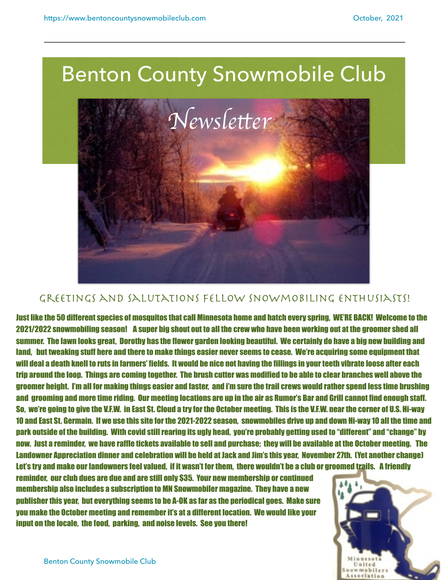

## GREETINGS AND SALUTATIONS FELLOW SNOWMOBILING ENTHUSIASTS!

Just like the 50 different species of mosquitos that call Minnesota home and hatch every spring, WE'RE BACK! Welcome to the 2021/2022 snowmobiling season! A super big shout out to all the crew who have been working out at the groomer shed all summer. The lawn looks great, Dorothy has the flower garden looking beautiful. We certainly do have a big new building and land, but tweaking stuff here and there to make things easier never seems to cease. We're acquiring some equipment that will deal a death knell to ruts in farmers' fields. It would be nice not having the fillings in your teeth vibrate loose after each trip around the loop. Things are coming together. The brush cutter was modified to be able to clear branches well above the groomer height. I'm all for making things easier and faster, and i'm sure the trail crews would rather spend less time brushing and grooming and more time riding. Our meeting locations are up in the air as Rumor's Bar and Grill cannot find enough staff. So, we're going to give the V.F.W. in East St. Cloud a try for the October meeting. This is the V.F.W. near the corner of U.S. Hi-way 10 and East St. Germain. If we use this site for the 2021-2022 season, snowmobiles drive up and down Hi-way 10 all the time and park outside of the building. With covid still rearing its ugly head, you're probably getting used to "different" and "change" by now. Just a reminder, we have raffle tickets available to sell and purchase; they will be available at the October meeting. The Landowner Appreciation dinner and celebration will be held at Jack and Jim's this year, November 27th. (Yet another change) Let's try and make our landowners feel valued, if it wasn't for them, there wouldn't be a club or groomed trails. A friendly

reminder, our club dues are due and are still only \$35. Your new membership or continued membership also includes a subscription to MN Snowmobiler magazine. They have a new publisher this year, but everything seems to be A-OK as far as the periodical goes. Make sure you make the October meeting and remember it's at a different location. We would like your input on the locale, the food, parking, and noise levels. See you there!